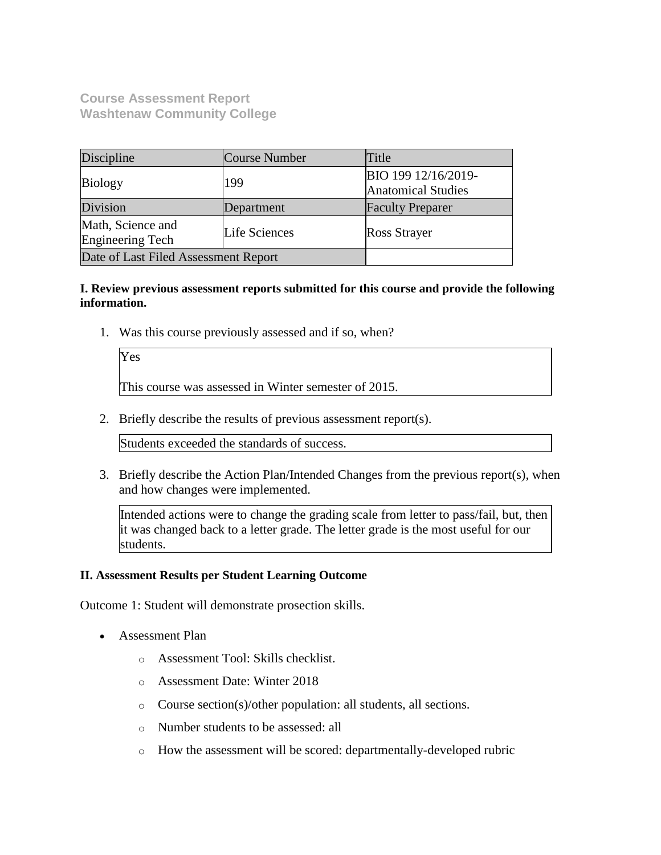**Course Assessment Report Washtenaw Community College**

| Discipline                                   | Course Number | Title                                            |
|----------------------------------------------|---------------|--------------------------------------------------|
| <b>Biology</b>                               | 199           | BIO 199 12/16/2019-<br><b>Anatomical Studies</b> |
| Division                                     | Department    | <b>Faculty Preparer</b>                          |
| Math, Science and<br><b>Engineering Tech</b> | Life Sciences | <b>Ross Strayer</b>                              |
| Date of Last Filed Assessment Report         |               |                                                  |

### **I. Review previous assessment reports submitted for this course and provide the following information.**

1. Was this course previously assessed and if so, when?

| Yes |  |  |                                                      |  |
|-----|--|--|------------------------------------------------------|--|
|     |  |  | This course was assessed in Winter semester of 2015. |  |

2. Briefly describe the results of previous assessment report(s).

Students exceeded the standards of success.

3. Briefly describe the Action Plan/Intended Changes from the previous report(s), when and how changes were implemented.

Intended actions were to change the grading scale from letter to pass/fail, but, then it was changed back to a letter grade. The letter grade is the most useful for our students.

### **II. Assessment Results per Student Learning Outcome**

Outcome 1: Student will demonstrate prosection skills.

- Assessment Plan
	- o Assessment Tool: Skills checklist.
	- o Assessment Date: Winter 2018
	- o Course section(s)/other population: all students, all sections.
	- o Number students to be assessed: all
	- o How the assessment will be scored: departmentally-developed rubric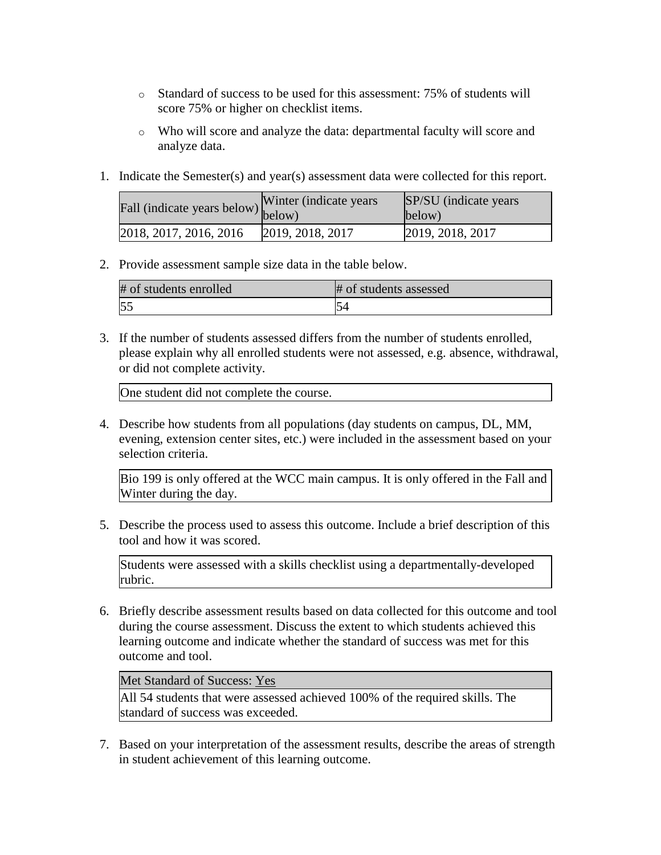- o Standard of success to be used for this assessment: 75% of students will score 75% or higher on checklist items.
- o Who will score and analyze the data: departmental faculty will score and analyze data.
- 1. Indicate the Semester(s) and year(s) assessment data were collected for this report.

| rall (indicate years below) below) | Winter (indicate years) | SP/SU (indicate years)<br>below) |
|------------------------------------|-------------------------|----------------------------------|
| 2018, 2017, 2016, 2016             | [2019, 2018, 2017]      | 2019, 2018, 2017                 |

## 2. Provide assessment sample size data in the table below.

| # of students enrolled | # of students assessed |
|------------------------|------------------------|
|                        |                        |

3. If the number of students assessed differs from the number of students enrolled, please explain why all enrolled students were not assessed, e.g. absence, withdrawal, or did not complete activity.

One student did not complete the course.

4. Describe how students from all populations (day students on campus, DL, MM, evening, extension center sites, etc.) were included in the assessment based on your selection criteria.

Bio 199 is only offered at the WCC main campus. It is only offered in the Fall and Winter during the day.

5. Describe the process used to assess this outcome. Include a brief description of this tool and how it was scored.

Students were assessed with a skills checklist using a departmentally-developed rubric.

6. Briefly describe assessment results based on data collected for this outcome and tool during the course assessment. Discuss the extent to which students achieved this learning outcome and indicate whether the standard of success was met for this outcome and tool.

Met Standard of Success: Yes

All 54 students that were assessed achieved 100% of the required skills. The standard of success was exceeded.

7. Based on your interpretation of the assessment results, describe the areas of strength in student achievement of this learning outcome.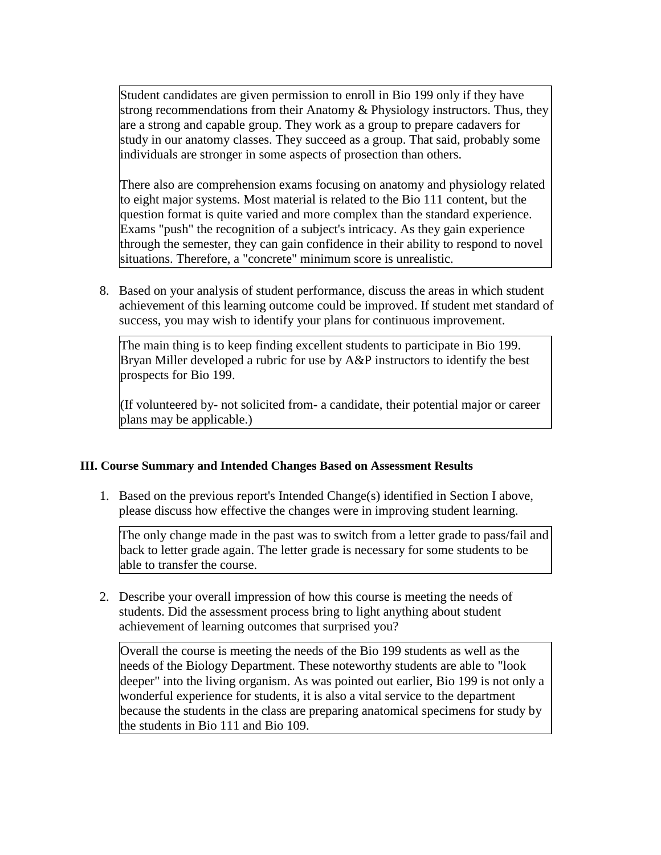Student candidates are given permission to enroll in Bio 199 only if they have strong recommendations from their Anatomy & Physiology instructors. Thus, they are a strong and capable group. They work as a group to prepare cadavers for study in our anatomy classes. They succeed as a group. That said, probably some individuals are stronger in some aspects of prosection than others.

There also are comprehension exams focusing on anatomy and physiology related to eight major systems. Most material is related to the Bio 111 content, but the question format is quite varied and more complex than the standard experience. Exams "push" the recognition of a subject's intricacy. As they gain experience through the semester, they can gain confidence in their ability to respond to novel situations. Therefore, a "concrete" minimum score is unrealistic.

8. Based on your analysis of student performance, discuss the areas in which student achievement of this learning outcome could be improved. If student met standard of success, you may wish to identify your plans for continuous improvement.

The main thing is to keep finding excellent students to participate in Bio 199. Bryan Miller developed a rubric for use by A&P instructors to identify the best prospects for Bio 199.

(If volunteered by- not solicited from- a candidate, their potential major or career plans may be applicable.)

### **III. Course Summary and Intended Changes Based on Assessment Results**

1. Based on the previous report's Intended Change(s) identified in Section I above, please discuss how effective the changes were in improving student learning.

The only change made in the past was to switch from a letter grade to pass/fail and back to letter grade again. The letter grade is necessary for some students to be able to transfer the course.

2. Describe your overall impression of how this course is meeting the needs of students. Did the assessment process bring to light anything about student achievement of learning outcomes that surprised you?

Overall the course is meeting the needs of the Bio 199 students as well as the needs of the Biology Department. These noteworthy students are able to "look deeper" into the living organism. As was pointed out earlier, Bio 199 is not only a wonderful experience for students, it is also a vital service to the department because the students in the class are preparing anatomical specimens for study by the students in Bio 111 and Bio 109.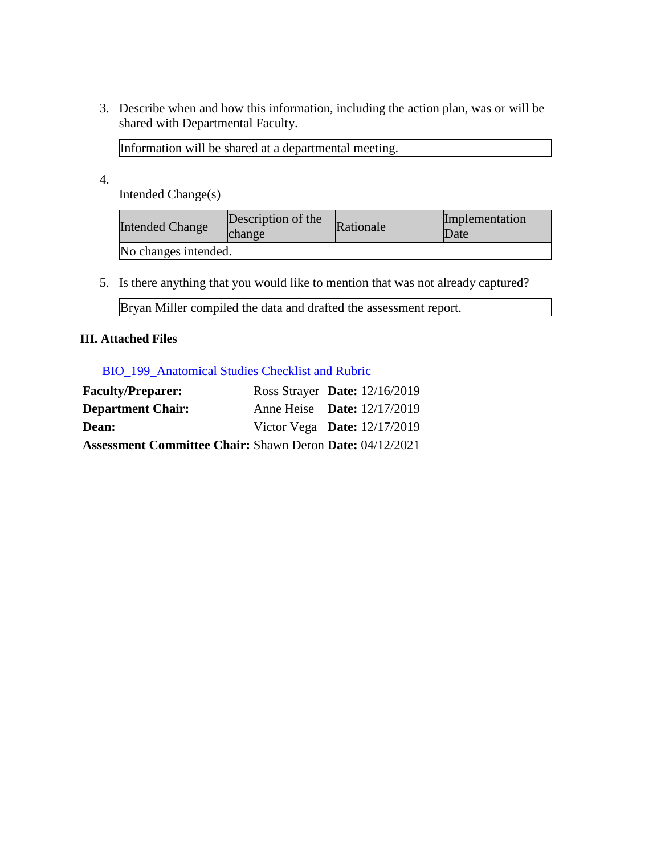3. Describe when and how this information, including the action plan, was or will be shared with Departmental Faculty.

Information will be shared at a departmental meeting.

4.

Intended Change(s)

| <b>Intended Change</b> | Description of the<br><b>change</b> | Rationale | Implementation<br>Date |
|------------------------|-------------------------------------|-----------|------------------------|
| No changes intended.   |                                     |           |                        |

5. Is there anything that you would like to mention that was not already captured?

Bryan Miller compiled the data and drafted the assessment report.

## **III. Attached Files**

[BIO\\_199\\_Anatomical Studies Checklist and Rubric](documents/BIO_199_Anatomical%20Studies%20Checklist%20and%20Rubric.docx)

| <b>Faculty/Preparer:</b>                                        | Ross Strayer Date: $12/16/2019$    |  |
|-----------------------------------------------------------------|------------------------------------|--|
| <b>Department Chair:</b>                                        | Anne Heise <b>Date:</b> 12/17/2019 |  |
| <b>Dean:</b>                                                    | Victor Vega Date: $12/17/2019$     |  |
| <b>Assessment Committee Chair: Shawn Deron Date: 04/12/2021</b> |                                    |  |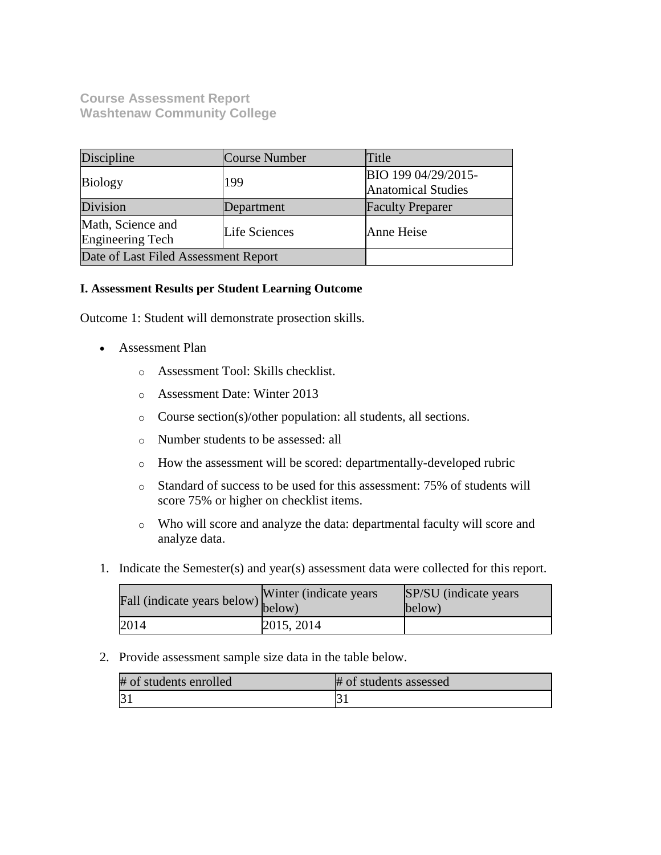**Course Assessment Report Washtenaw Community College**

| Discipline                                   | Course Number        | Title                                            |
|----------------------------------------------|----------------------|--------------------------------------------------|
| <b>Biology</b>                               | 199                  | BIO 199 04/29/2015-<br><b>Anatomical Studies</b> |
| Division                                     | Department           | <b>Faculty Preparer</b>                          |
| Math, Science and<br><b>Engineering Tech</b> | <b>Life Sciences</b> | Anne Heise                                       |
| Date of Last Filed Assessment Report         |                      |                                                  |

### **I. Assessment Results per Student Learning Outcome**

Outcome 1: Student will demonstrate prosection skills.

- Assessment Plan
	- o Assessment Tool: Skills checklist.
	- o Assessment Date: Winter 2013
	- o Course section(s)/other population: all students, all sections.
	- o Number students to be assessed: all
	- o How the assessment will be scored: departmentally-developed rubric
	- o Standard of success to be used for this assessment: 75% of students will score 75% or higher on checklist items.
	- o Who will score and analyze the data: departmental faculty will score and analyze data.
- 1. Indicate the Semester(s) and year(s) assessment data were collected for this report.

| Fall (indicate years below) below) | Winter (indicate years) | SP/SU (indicate years)<br>below) |
|------------------------------------|-------------------------|----------------------------------|
| 2014                               | 2015, 2014              |                                  |

2. Provide assessment sample size data in the table below.

| # of students enrolled | # of students assessed |
|------------------------|------------------------|
|                        |                        |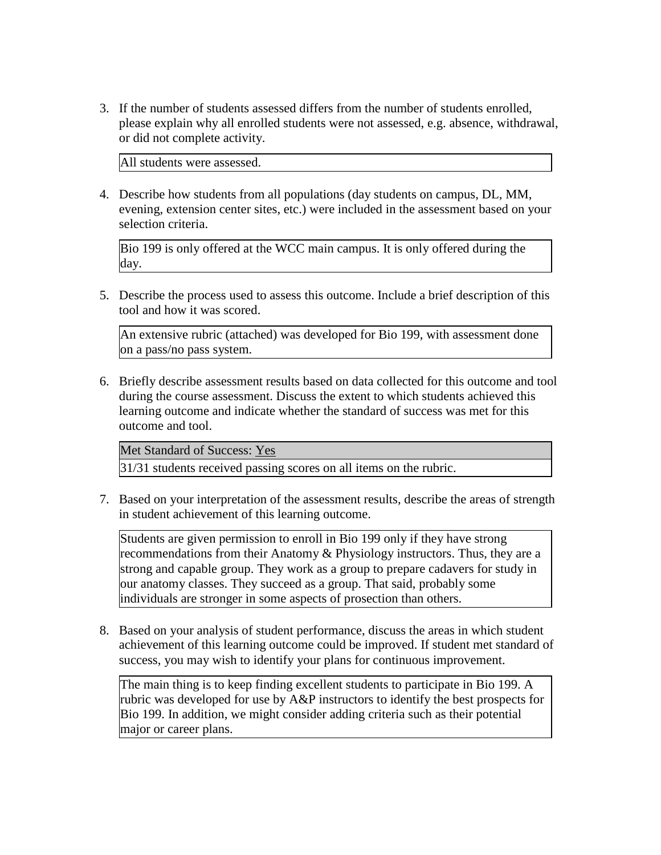3. If the number of students assessed differs from the number of students enrolled, please explain why all enrolled students were not assessed, e.g. absence, withdrawal, or did not complete activity.

All students were assessed.

4. Describe how students from all populations (day students on campus, DL, MM, evening, extension center sites, etc.) were included in the assessment based on your selection criteria.

Bio 199 is only offered at the WCC main campus. It is only offered during the day.

5. Describe the process used to assess this outcome. Include a brief description of this tool and how it was scored.

An extensive rubric (attached) was developed for Bio 199, with assessment done on a pass/no pass system.

6. Briefly describe assessment results based on data collected for this outcome and tool during the course assessment. Discuss the extent to which students achieved this learning outcome and indicate whether the standard of success was met for this outcome and tool.

Met Standard of Success: Yes

31/31 students received passing scores on all items on the rubric.

7. Based on your interpretation of the assessment results, describe the areas of strength in student achievement of this learning outcome.

Students are given permission to enroll in Bio 199 only if they have strong recommendations from their Anatomy & Physiology instructors. Thus, they are a strong and capable group. They work as a group to prepare cadavers for study in our anatomy classes. They succeed as a group. That said, probably some individuals are stronger in some aspects of prosection than others.

8. Based on your analysis of student performance, discuss the areas in which student achievement of this learning outcome could be improved. If student met standard of success, you may wish to identify your plans for continuous improvement.

The main thing is to keep finding excellent students to participate in Bio 199. A rubric was developed for use by A&P instructors to identify the best prospects for Bio 199. In addition, we might consider adding criteria such as their potential major or career plans.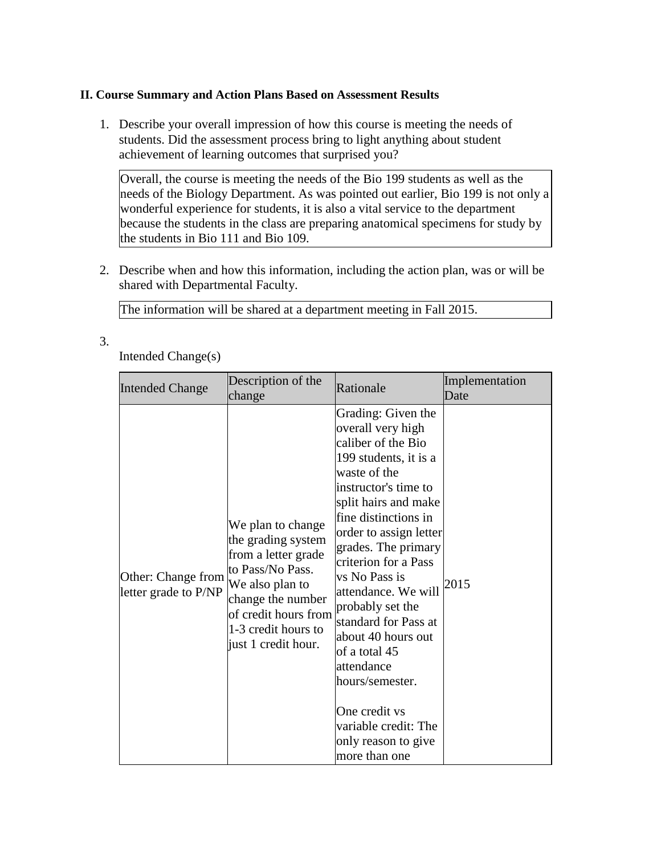### **II. Course Summary and Action Plans Based on Assessment Results**

1. Describe your overall impression of how this course is meeting the needs of students. Did the assessment process bring to light anything about student achievement of learning outcomes that surprised you?

Overall, the course is meeting the needs of the Bio 199 students as well as the needs of the Biology Department. As was pointed out earlier, Bio 199 is not only a wonderful experience for students, it is also a vital service to the department because the students in the class are preparing anatomical specimens for study by the students in Bio 111 and Bio 109.

2. Describe when and how this information, including the action plan, was or will be shared with Departmental Faculty.

The information will be shared at a department meeting in Fall 2015.

3.

Intended Change(s)

| <b>Intended Change</b>                     | Description of the<br>change                                                                                                                                                                     | Rationale                                                                                                                                                                                                                                                                                                                                                                                                                                                                                            | Implementation<br>Date |
|--------------------------------------------|--------------------------------------------------------------------------------------------------------------------------------------------------------------------------------------------------|------------------------------------------------------------------------------------------------------------------------------------------------------------------------------------------------------------------------------------------------------------------------------------------------------------------------------------------------------------------------------------------------------------------------------------------------------------------------------------------------------|------------------------|
| Other: Change from<br>letter grade to P/NP | We plan to change<br>the grading system<br>from a letter grade<br>to Pass/No Pass.<br>We also plan to<br>change the number<br>of credit hours from<br>1-3 credit hours to<br>just 1 credit hour. | Grading: Given the<br>overall very high<br>caliber of the Bio<br>199 students, it is a<br>waste of the<br>instructor's time to<br>split hairs and make<br>fine distinctions in<br>order to assign letter<br>grades. The primary<br>criterion for a Pass<br>vs No Pass is<br>attendance. We will<br>probably set the<br>standard for Pass at<br>about 40 hours out<br>of a total 45<br>attendance<br>hours/semester.<br>One credit vs<br>variable credit: The<br>only reason to give<br>more than one | 2015                   |